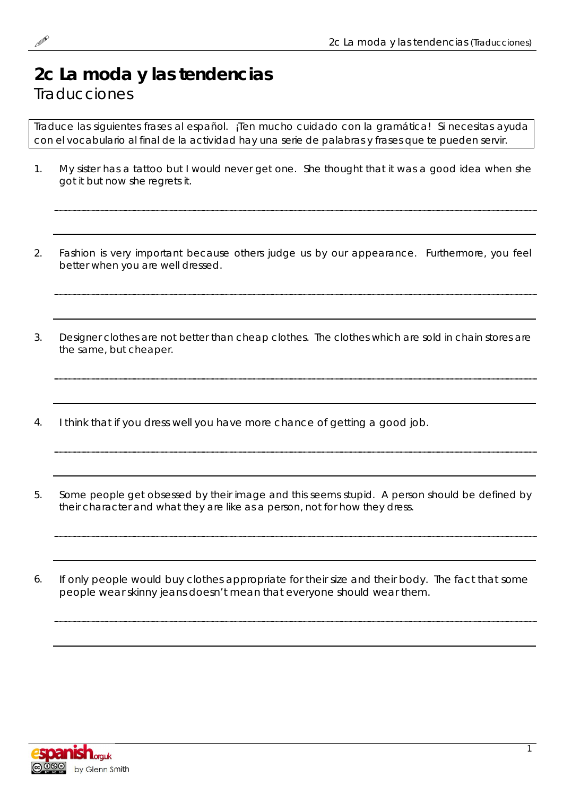## **2c La moda y las tendencias Traducciones**

Traduce las siguientes frases al español. ¡Ten mucho cuidado con la gramática! Si necesitas ayuda con el vocabulario al final de la actividad hay una serie de palabras y frases que te pueden servir.

- 1. My sister has a tattoo but I would never get one. She thought that it was a good idea when she got it but now she regrets it.
- 2. Fashion is very important because others judge us by our appearance. Furthermore, you feel better when you are well dressed.

3. Designer clothes are not better than cheap clothes. The clothes which are sold in chain stores are the same, but cheaper.

- 4. I think that if you dress well you have more chance of getting a good job.
- 5. Some people get obsessed by their image and this seems stupid. A person should be defined by their character and what they are like as a person, not for how they dress.
- 6. If only people would buy clothes appropriate for their size and their body. The fact that some people wear skinny jeans doesn't mean that everyone should wear them.

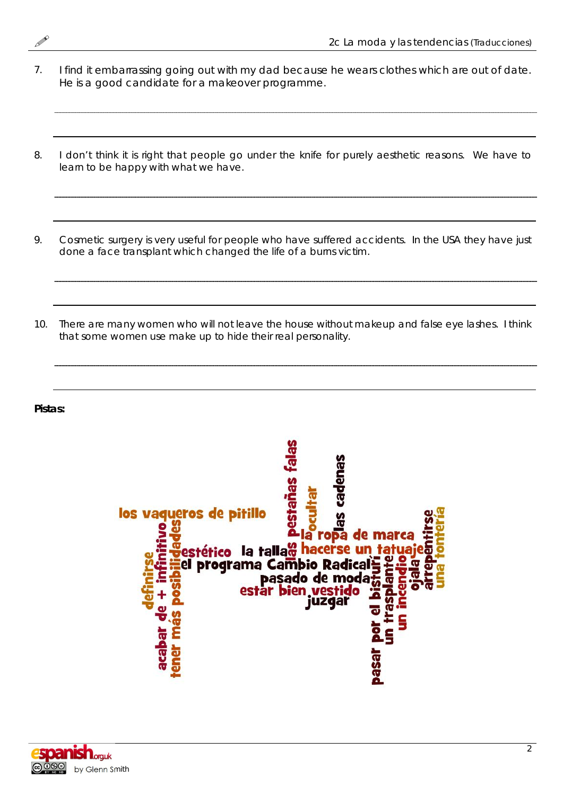

- 7. I find it embarrassing going out with my dad because he wears clothes which are out of date. He is a good candidate for a makeover programme.
- 8. I don't think it is right that people go under the knife for purely aesthetic reasons. We have to learn to be happy with what we have.
- 9. Cosmetic surgery is very useful for people who have suffered accidents. In the USA they have just done a face transplant which changed the life of a burns victim.
- 10. There are many women who will not leave the house without makeup and false eye lashes. I think that some women use make up to hide their real personality.

**Pistas:**